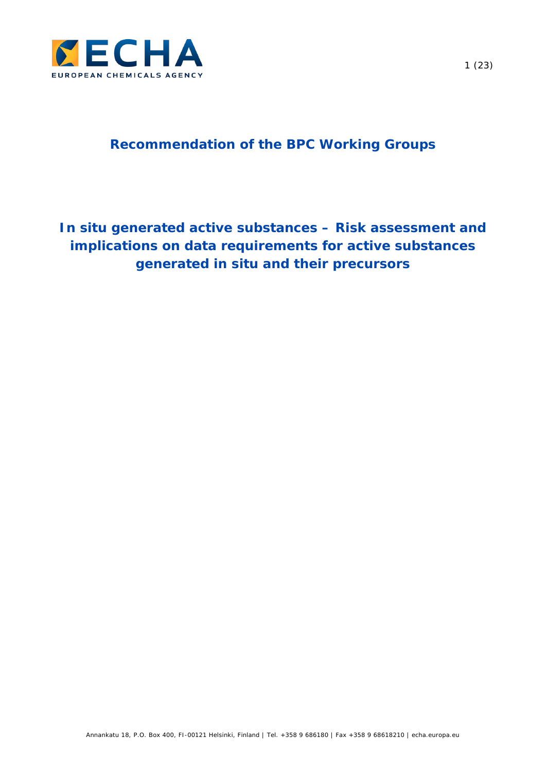

# **Recommendation of the BPC Working Groups**

# *In situ* **generated active substances – Risk assessment and implications on data requirements for active substances generated** *in situ* **and their precursors**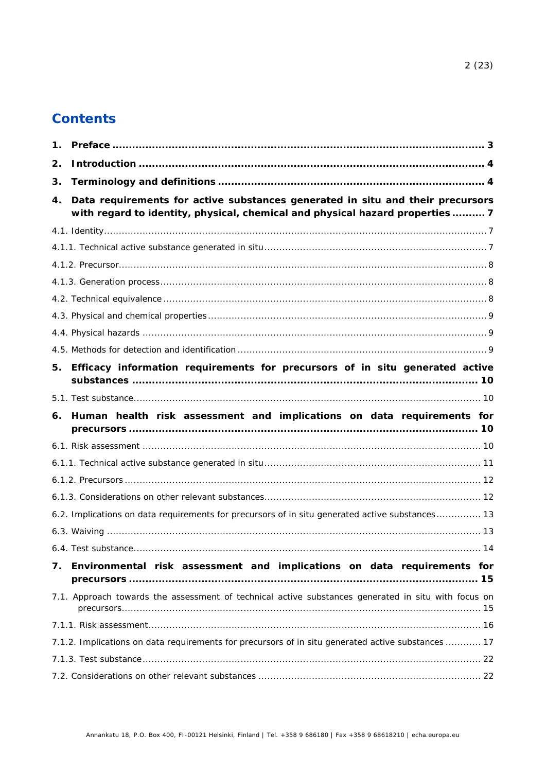# **Contents**

| $\mathbf 1$ . |                                                                                                                                                                |
|---------------|----------------------------------------------------------------------------------------------------------------------------------------------------------------|
| 2.            |                                                                                                                                                                |
| 3.            |                                                                                                                                                                |
| 4.            | Data requirements for active substances generated in situ and their precursors<br>with regard to identity, physical, chemical and physical hazard properties 7 |
|               |                                                                                                                                                                |
|               |                                                                                                                                                                |
|               |                                                                                                                                                                |
|               |                                                                                                                                                                |
|               |                                                                                                                                                                |
|               |                                                                                                                                                                |
|               |                                                                                                                                                                |
|               |                                                                                                                                                                |
| 5.            | Efficacy information requirements for precursors of in situ generated active                                                                                   |
|               |                                                                                                                                                                |
|               |                                                                                                                                                                |
| 6.            | Human health risk assessment and implications on data requirements for                                                                                         |
|               |                                                                                                                                                                |
|               |                                                                                                                                                                |
|               |                                                                                                                                                                |
|               |                                                                                                                                                                |
|               | 6.2. Implications on data requirements for precursors of in situ generated active substances 13                                                                |
|               |                                                                                                                                                                |
|               |                                                                                                                                                                |
| 7.            | Environmental risk assessment and implications on data requirements for                                                                                        |
|               | 7.1. Approach towards the assessment of technical active substances generated in situ with focus on                                                            |
|               |                                                                                                                                                                |
|               | 7.1.2. Implications on data requirements for precursors of in situ generated active substances  17                                                             |
|               |                                                                                                                                                                |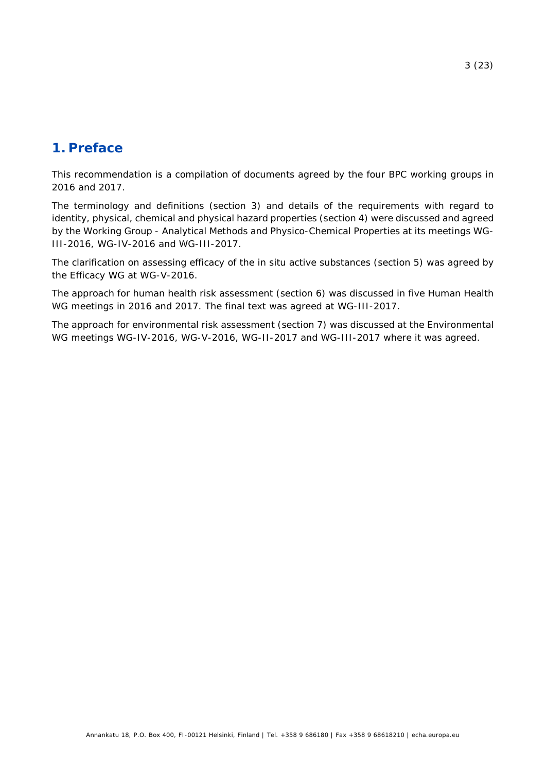# <span id="page-2-0"></span>**1. Preface**

This recommendation is a compilation of documents agreed by the four BPC working groups in 2016 and 2017.

The terminology and definitions (section [3\)](#page-3-1) and details of the requirements with regard to identity, physical, chemical and physical hazard properties (section [4\)](#page-6-0) were discussed and agreed by the Working Group - Analytical Methods and Physico-Chemical Properties at its meetings WG-III-2016, WG-IV-2016 and WG-III-2017.

The clarification on assessing efficacy of the in situ active substances (section [5\)](#page-9-0) was agreed by the Efficacy WG at WG-V-2016.

The approach for human health risk assessment (section [6\)](#page-9-2) was discussed in five Human Health WG meetings in 2016 and 2017. The final text was agreed at WG-III-2017.

The approach for environmental risk assessment (section [7\)](#page-14-0) was discussed at the Environmental WG meetings WG-IV-2016, WG-V-2016, WG-II-2017 and WG-III-2017 where it was agreed.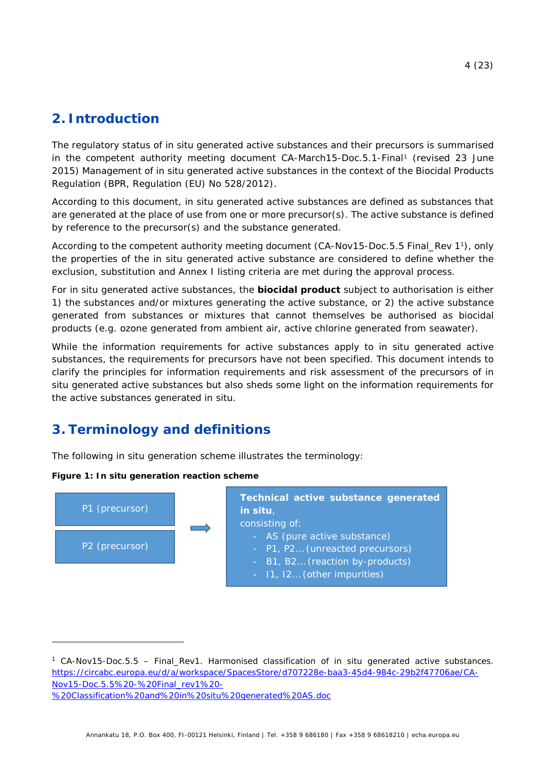# <span id="page-3-0"></span>**2. Introduction**

<span id="page-3-2"></span>The regulatory status of *in situ* generated active substances and their precursors is summarised in the competent authority meeting document *CA-March15-Doc.5.1-Final[1](#page-3-3)* (revised 23 June 2015) *Management of in situ generated active substances in the context of the Biocidal Products Regulation (BPR, Regulation (EU) No 528/2012)*.

According to this document, *in situ* generated active substances are defined as substances that are generated at the place of use from one or more precursor(s). The active substance is defined by reference to the precursor(s) and the substance generated.

According to the competent authority meeting document (*CA-Nov15-Doc.5.5 Final\_Rev 1*[1\)](#page-3-2), only the properties of the *in situ* generated active substance are considered to define whether the exclusion, substitution and Annex I listing criteria are met during the approval process.

For *in situ* generated active substances, the **biocidal product** subject to authorisation is either 1) the substances and/or mixtures generating the active substance, or 2) the active substance generated from substances or mixtures that cannot themselves be authorised as biocidal products (e.g. ozone generated from ambient air, active chlorine generated from seawater).

While the information requirements for active substances apply to *in situ* generated active substances, the requirements for precursors have not been specified. This document intends to clarify the principles for information requirements and risk assessment of the precursors of *in situ* generated active substances but also sheds some light on the information requirements for the active substances generated *in situ*.

# <span id="page-3-1"></span>**3. Terminology and definitions**

The following *in situ* generation scheme illustrates the terminology:

### <span id="page-3-4"></span>**Figure 1:** *In situ* **generation reaction scheme**



<span id="page-3-3"></span><sup>1</sup> CA-Nov15-Doc.5.5 – Final\_Rev1. Harmonised classification of in situ generated active substances. [https://circabc.europa.eu/d/a/workspace/SpacesStore/d707228e-baa3-45d4-984c-29b2f47706ae/CA-](https://circabc.europa.eu/d/a/workspace/SpacesStore/d707228e-baa3-45d4-984c-29b2f47706ae/CA-Nov15-Doc.5.5%20-%20Final_rev1%20-%20Classification%20and%20in%20situ%20generated%20AS.doc)[Nov15-Doc.5.5%20-%20Final\\_rev1%20-](https://circabc.europa.eu/d/a/workspace/SpacesStore/d707228e-baa3-45d4-984c-29b2f47706ae/CA-Nov15-Doc.5.5%20-%20Final_rev1%20-%20Classification%20and%20in%20situ%20generated%20AS.doc) [%20Classification%20and%20in%20situ%20generated%20AS.doc](https://circabc.europa.eu/d/a/workspace/SpacesStore/d707228e-baa3-45d4-984c-29b2f47706ae/CA-Nov15-Doc.5.5%20-%20Final_rev1%20-%20Classification%20and%20in%20situ%20generated%20AS.doc)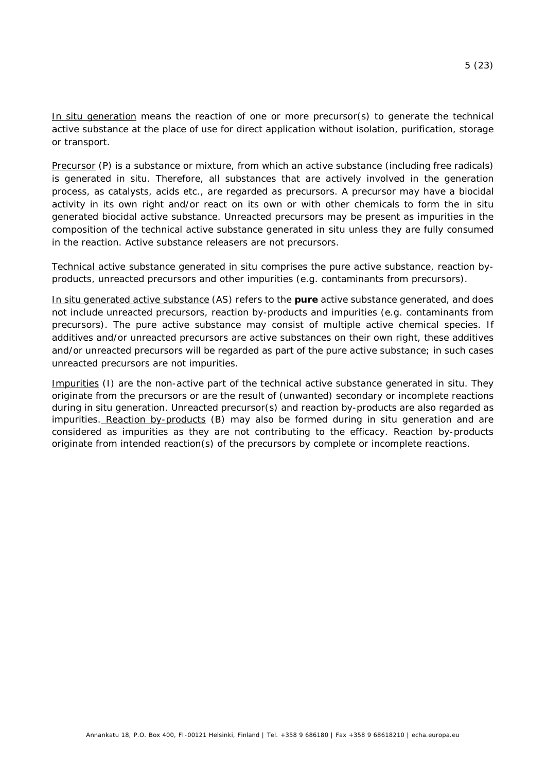*In situ* generation means the reaction of one or more precursor(s) to generate the technical active substance at the place of use for direct application without isolation, purification, storage or transport.

Precursor (P) is a substance or mixture, from which an active substance (including free radicals) is generated *in situ*. Therefore, all substances that are actively involved in the generation process, as catalysts, acids etc., are regarded as precursors. A precursor may have a biocidal activity in its own right and/or react on its own or with other chemicals to form the *in situ* generated biocidal active substance. Unreacted precursors may be present as impurities in the composition of the technical active substance generated *in situ* unless they are fully consumed in the reaction. Active substance releasers are not precursors.

Technical active substance generated *in situ* comprises the pure active substance, reaction byproducts, unreacted precursors and other impurities (e.g. contaminants from precursors).

*In situ* generated active substance (AS) refers to the **pure** active substance generated, and does not include unreacted precursors, reaction by-products and impurities (e.g. contaminants from precursors). The pure active substance may consist of multiple active chemical species. If additives and/or unreacted precursors are active substances on their own right, these additives and/or unreacted precursors will be regarded as part of the pure active substance; in such cases unreacted precursors are not impurities.

Impurities (I) are the non-active part of the technical active substance generated *in situ*. They originate from the precursors or are the result of (unwanted) secondary or incomplete reactions during *in situ* generation. Unreacted precursor(s) and reaction by-products are also regarded as impurities. Reaction by-products (B) may also be formed during *in situ* generation and are considered as impurities as they are not contributing to the efficacy. Reaction by-products originate from intended reaction(s) of the precursors by complete or incomplete reactions.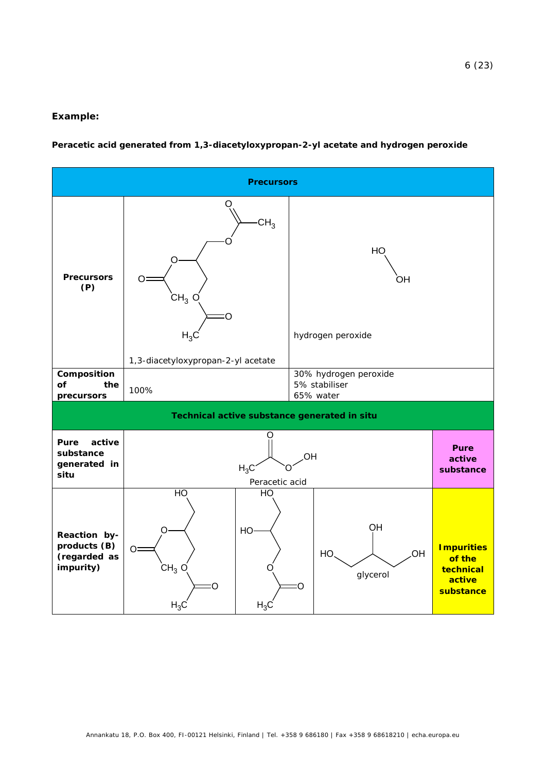#### **Example:**

#### **Peracetic acid generated from 1,3-diacetyloxypropan-2-yl acetate and hydrogen peroxide**

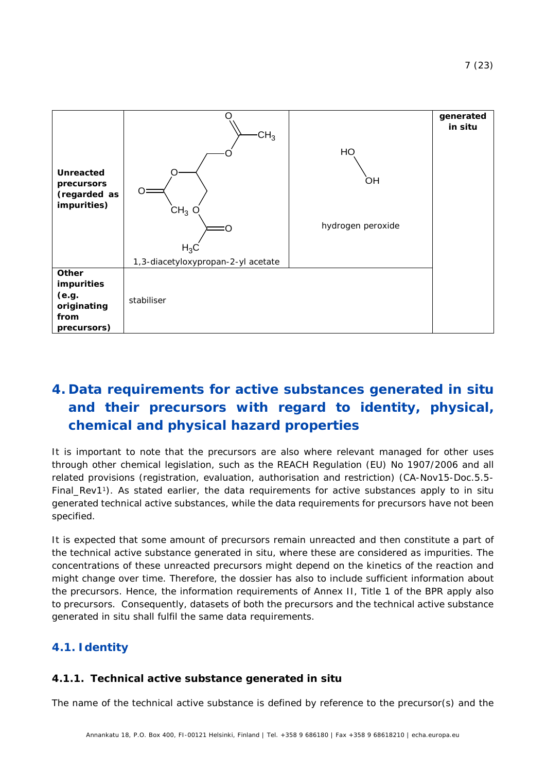

# <span id="page-6-0"></span>**4. Data requirements for active substances generated** *in situ* **and their precursors with regard to identity, physical, chemical and physical hazard properties**

It is important to note that the precursors are also where relevant managed for other uses through other chemical legislation, such as the REACH Regulation (EU) No 1907/2006 and all related provisions (registration, evaluation, authorisation and restriction) (*CA-Nov15-Doc.5.5- Final\_Rev1*[1\)](#page-3-2). As stated earlier, the data requirements for active substances apply to *in situ* generated technical active substances, while the data requirements for precursors have not been specified.

It is expected that some amount of precursors remain unreacted and then constitute a part of the technical active substance generated *in situ*, where these are considered as impurities. The concentrations of these unreacted precursors might depend on the kinetics of the reaction and might change over time. Therefore, the dossier has also to include sufficient information about the precursors. Hence, the information requirements of Annex II, Title 1 of the BPR apply also to precursors. Consequently, datasets of both the precursors and the technical active substance generated *in situ* shall fulfil the same data requirements.

# <span id="page-6-1"></span>**4.1. Identity**

## <span id="page-6-2"></span>**4.1.1. Technical active substance generated** *in situ*

The name of the technical active substance is defined by reference to the precursor(s) and the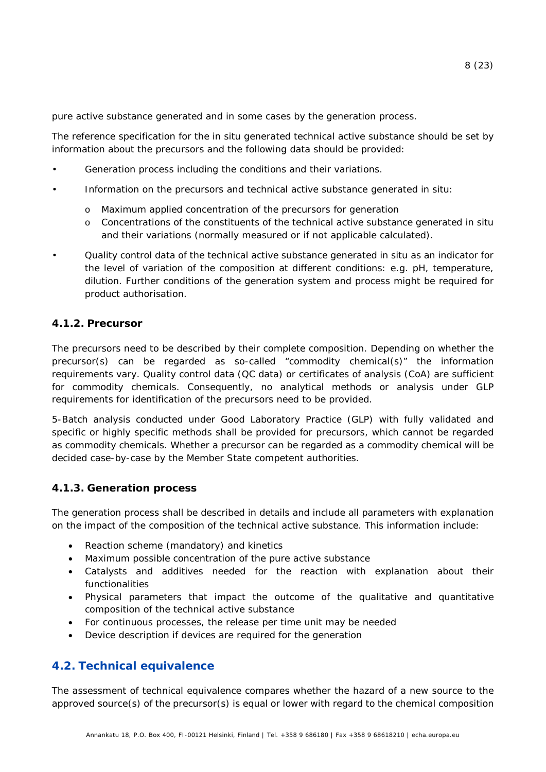pure active substance generated and in some cases by the generation process.

The reference specification for the *in situ* generated technical active substance should be set by information about the precursors and the following data should be provided:

- Generation process including the conditions and their variations.
- Information on the precursors and technical active substance generated *in situ:* 
	- o Maximum applied concentration of the precursors for generation
	- o Concentrations of the constituents of the technical active substance generated *in situ* and their variations (normally measured or if not applicable calculated).
- Quality control data of the technical active substance generated *in situ* as an indicator for the level of variation of the composition at different conditions: e.g. pH, temperature, dilution. Further conditions of the generation system and process might be required for product authorisation.

### <span id="page-7-0"></span>**4.1.2. Precursor**

The precursors need to be described by their complete composition. Depending on whether the precursor(s) can be regarded as so-called "commodity chemical(s)" the information requirements vary. Quality control data (QC data) or certificates of analysis (CoA) are sufficient for commodity chemicals. Consequently, no analytical methods or analysis under GLP requirements for identification of the precursors need to be provided.

5-Batch analysis conducted under Good Laboratory Practice (GLP) with fully validated and specific or highly specific methods shall be provided for precursors, which cannot be regarded as commodity chemicals. Whether a precursor can be regarded as a commodity chemical will be decided case-by-case by the Member State competent authorities.

### <span id="page-7-1"></span>**4.1.3. Generation process**

The generation process shall be described in details and include all parameters with explanation on the impact of the composition of the technical active substance. This information include:

- Reaction scheme (mandatory) and kinetics
- Maximum possible concentration of the pure active substance
- Catalysts and additives needed for the reaction with explanation about their functionalities
- Physical parameters that impact the outcome of the qualitative and quantitative composition of the technical active substance
- For continuous processes, the release per time unit may be needed
- Device description if devices are required for the generation

## <span id="page-7-2"></span>**4.2. Technical equivalence**

The assessment of technical equivalence compares whether the hazard of a new source to the approved source(s) of the precursor(s) is equal or lower with regard to the chemical composition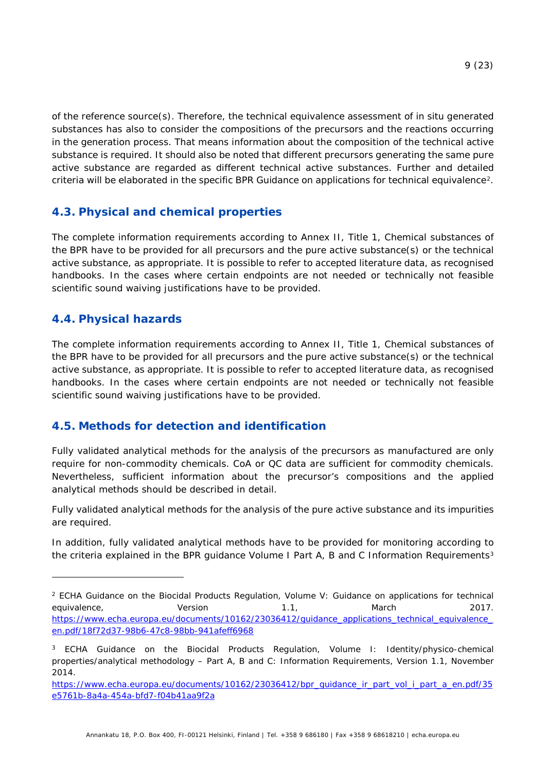of the reference source(s). Therefore, the technical equivalence assessment of *in situ* generated substances has also to consider the compositions of the precursors and the reactions occurring in the generation process. That means information about the composition of the technical active substance is required. It should also be noted that different precursors generating the same pure active substance are regarded as different technical active substances. Further and detailed criteria will be elaborated in the specific *BPR Guidance on applications for technical equivalence*[2.](#page-8-3)

## <span id="page-8-0"></span>**4.3. Physical and chemical properties**

The complete information requirements according to Annex II, Title 1, Chemical substances of the BPR have to be provided for all precursors and the pure active substance(s) or the technical active substance, as appropriate. It is possible to refer to accepted literature data, as recognised handbooks. In the cases where certain endpoints are not needed or technically not feasible scientific sound waiving justifications have to be provided.

## <span id="page-8-1"></span>**4.4. Physical hazards**

-

The complete information requirements according to Annex II, Title 1, Chemical substances of the BPR have to be provided for all precursors and the pure active substance(s) or the technical active substance, as appropriate. It is possible to refer to accepted literature data, as recognised handbooks. In the cases where certain endpoints are not needed or technically not feasible scientific sound waiving justifications have to be provided.

## <span id="page-8-2"></span>**4.5. Methods for detection and identification**

Fully validated analytical methods for the analysis of the precursors as manufactured are only require for non-commodity chemicals. CoA or QC data are sufficient for commodity chemicals. Nevertheless, sufficient information about the precursor's compositions and the applied analytical methods should be described in detail.

Fully validated analytical methods for the analysis of the pure active substance and its impurities are required.

In addition, fully validated analytical methods have to be provided for monitoring according to the criteria explained in the *BPR guidance Volume I Part A, B and C Information Requirements[3](#page-8-4)*

<span id="page-8-3"></span><sup>2</sup> ECHA Guidance on the Biocidal Products Regulation, Volume V: Guidance on applications for technical equivalence, Carrier Version 1.1, March 2017. https://www.echa.europa.eu/documents/10162/23036412/quidance\_applications\_technical\_equivalence\_ [en.pdf/18f72d37-98b6-47c8-98bb-941afeff6968](https://www.echa.europa.eu/documents/10162/23036412/guidance_applications_technical_equivalence_en.pdf/18f72d37-98b6-47c8-98bb-941afeff6968)

<span id="page-8-4"></span><sup>&</sup>lt;sup>3</sup> ECHA Guidance on the Biocidal Products Regulation, Volume I: Identity/physico-chemical properties/analytical methodology – Part A, B and C: Information Requirements, Version 1.1, November 2014.

https://www.echa.europa.eu/documents/10162/23036412/bpr\_quidance\_ir\_part\_vol\_i\_part\_a\_en.pdf/35 [e5761b-8a4a-454a-bfd7-f04b41aa9f2a](https://www.echa.europa.eu/documents/10162/23036412/bpr_guidance_ir_part_vol_i_part_a_en.pdf/35e5761b-8a4a-454a-bfd7-f04b41aa9f2a)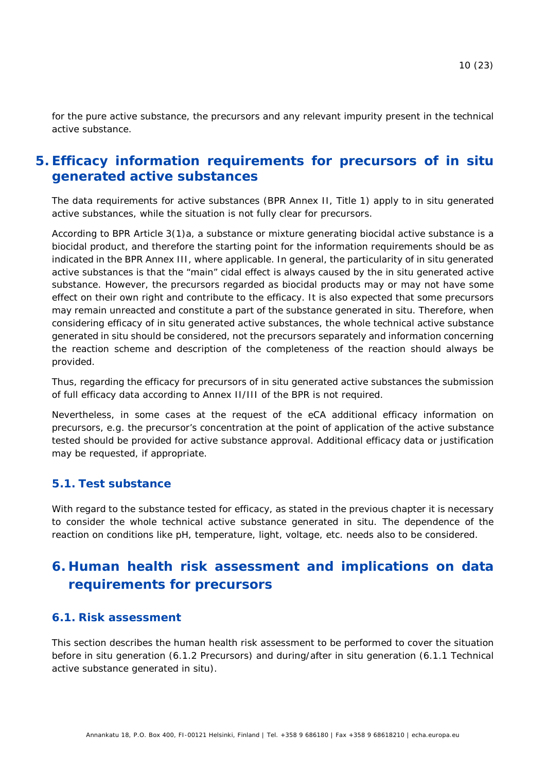for the pure active substance, the precursors and any relevant impurity present in the technical active substance.

## <span id="page-9-0"></span>**5. Efficacy information requirements for precursors of** *in situ* **generated active substances**

The data requirements for active substances (BPR Annex II, Title 1) apply to *in situ* generated active substances, while the situation is not fully clear for precursors.

According to BPR Article 3(1)a, a substance or mixture generating biocidal active substance is a biocidal product, and therefore the starting point for the information requirements should be as indicated in the BPR Annex III, where applicable. In general, the particularity of *in situ* generated active substances is that the "main" cidal effect is always caused by the *in situ* generated active substance. However, the precursors regarded as biocidal products may or may not have some effect on their own right and contribute to the efficacy. It is also expected that some precursors may remain unreacted and constitute a part of the substance generated *in situ.* Therefore, when considering efficacy of *in situ* generated active substances, the whole technical active substance generated *in situ* should be considered, not the precursors separately and information concerning the reaction scheme and description of the completeness of the reaction should always be provided.

Thus, regarding the efficacy for precursors of *in situ* generated active substances the submission of full efficacy data according to Annex II/III of the BPR is not required.

Nevertheless, in some cases at the request of the eCA additional efficacy information on precursors, e.g. the precursor's concentration at the point of application of the active substance tested should be provided for active substance approval. Additional efficacy data or justification may be requested, if appropriate.

### <span id="page-9-1"></span>**5.1. Test substance**

With regard to the substance tested for efficacy, as stated in the previous chapter it is necessary to consider the whole technical active substance generated *in situ*. The dependence of the reaction on conditions like pH, temperature, light, voltage, etc. needs also to be considered.

# <span id="page-9-2"></span>**6. Human health risk assessment and implications on data requirements for precursors**

### <span id="page-9-3"></span>**6.1. Risk assessment**

This section describes the human health risk assessment to be performed to cover the situation before *in situ* generation [\(6.1.2](#page-11-0) [Precursors\)](#page-11-0) and during/after *in situ* generation [\(6.1.1](#page-10-0) [Technical](#page-10-0)  [active substance generated](#page-10-0) *in situ*).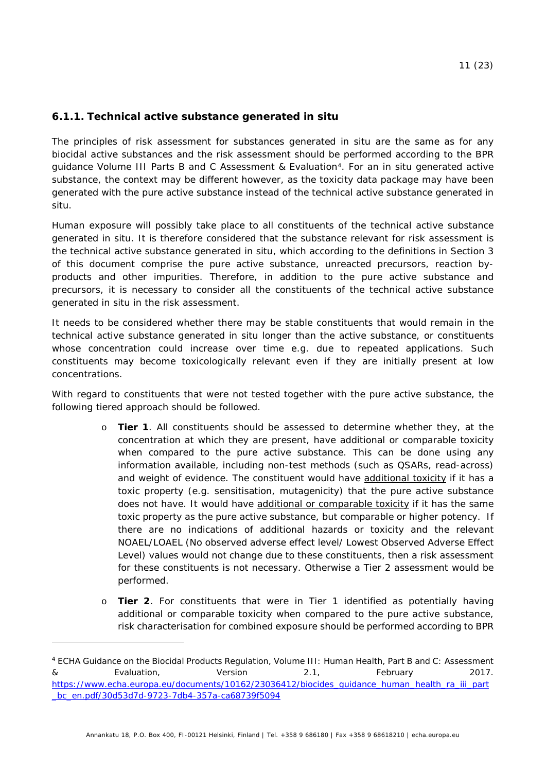### <span id="page-10-0"></span>**6.1.1. Technical active substance generated** *in situ*

<span id="page-10-2"></span>The principles of risk assessment for substances generated *in situ* are the same as for any biocidal active substances and the risk assessment should be performed according to the *BPR guidance Volume III Parts B and C Assessment & Evaluation[4](#page-10-1)*. For an *in situ* generated active substance, the context may be different however, as the toxicity data package may have been generated with the pure active substance instead of the technical active substance generated *in situ*.

Human exposure will possibly take place to all constituents of the technical active substance generated *in situ*. It is therefore considered that the substance relevant for risk assessment is the technical active substance generated *in situ*, which according to the definitions in Section [3](#page-3-1) of this document comprise the pure active substance, unreacted precursors, reaction byproducts and other impurities. Therefore, in addition to the pure active substance and precursors, it is necessary to consider all the constituents of the technical active substance generated *in situ* in the risk assessment.

It needs to be considered whether there may be stable constituents that would remain in the technical active substance generated *in situ* longer than the active substance, or constituents whose concentration could increase over time e.g. due to repeated applications. Such constituents may become toxicologically relevant even if they are initially present at low concentrations.

With regard to constituents that were not tested together with the pure active substance, the following tiered approach should be followed.

- o **Tier 1**. All constituents should be assessed to determine whether they, at the concentration at which they are present, have additional or comparable toxicity when compared to the pure active substance. This can be done using any information available, including non-test methods (such as QSARs, read-across) and weight of evidence. The constituent would have additional toxicity if it has a toxic property (e.g. sensitisation, mutagenicity) that the pure active substance does not have. It would have additional or comparable toxicity if it has the same toxic property as the pure active substance, but comparable or higher potency. If there are no indications of additional hazards or toxicity and the relevant NOAEL/LOAEL (No observed adverse effect level/ Lowest Observed Adverse Effect Level) values would not change due to these constituents, then a risk assessment for these constituents is not necessary. Otherwise a Tier 2 assessment would be performed.
- o **Tier 2**. For constituents that were in Tier 1 identified as potentially having additional or comparable toxicity when compared to the pure active substance, risk characterisation for combined exposure should be performed according to *BPR*

<span id="page-10-1"></span><sup>4</sup> ECHA Guidance on the Biocidal Products Regulation, Volume III: Human Health, Part B and C: Assessment & Evaluation, Version 2.1, February 2017. [https://www.echa.europa.eu/documents/10162/23036412/biocides\\_guidance\\_human\\_health\\_ra\\_iii\\_part](https://www.echa.europa.eu/documents/10162/23036412/biocides_guidance_human_health_ra_iii_part_bc_en.pdf/30d53d7d-9723-7db4-357a-ca68739f5094) [\\_bc\\_en.pdf/30d53d7d-9723-7db4-357a-ca68739f5094](https://www.echa.europa.eu/documents/10162/23036412/biocides_guidance_human_health_ra_iii_part_bc_en.pdf/30d53d7d-9723-7db4-357a-ca68739f5094)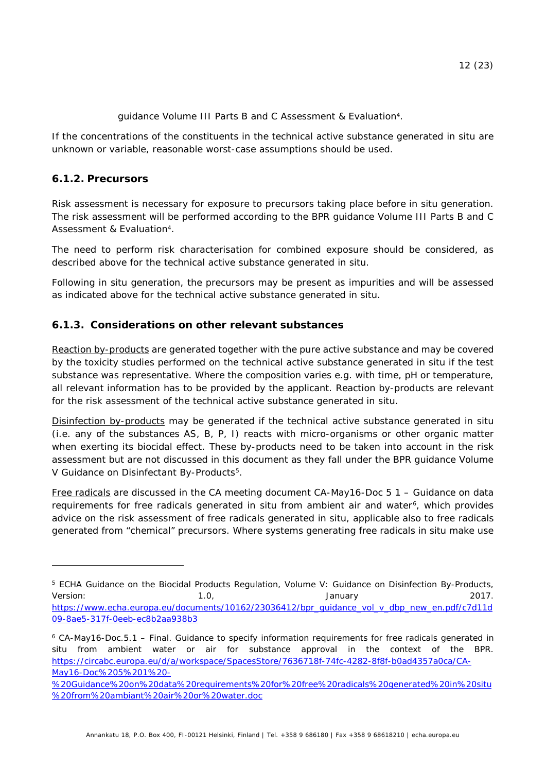*guidance Volume III Parts B and C Assessment & Evaluation*[4.](#page-10-2)

If the concentrations of the constituents in the technical active substance generated *in situ* are unknown or variable, reasonable worst-case assumptions should be used.

## <span id="page-11-0"></span>**6.1.2. Precursors**

-

Risk assessment is necessary for exposure to precursors taking place before *in situ* generation. The risk assessment will be performed according to the *BPR guidance Volume III Parts B and C Assessment & Evaluation*[4.](#page-10-2)

The need to perform risk characterisation for combined exposure should be considered, as described above for the technical active substance generated *in situ*.

Following *in situ* generation, the precursors may be present as impurities and will be assessed as indicated above for the technical active substance generated *in situ*.

## <span id="page-11-1"></span>**6.1.3. Considerations on other relevant substances**

Reaction by-products are generated together with the pure active substance and may be covered by the toxicity studies performed on the technical active substance generated in situ if the test substance was representative. Where the composition varies e.g. with time, pH or temperature, all relevant information has to be provided by the applicant. Reaction by-products are relevant for the risk assessment of the technical active substance generated *in situ*.

Disinfection by-products may be generated if the technical active substance generated *in situ* (i.e. any of the substances AS, B, P, I) reacts with micro-organisms or other organic matter when exerting its biocidal effect. These by-products need to be taken into account in the risk assessment but are not discussed in this document as they fall under the *BPR guidance Volume V Guidance on Disinfectant By-Products[5](#page-11-2).*

<span id="page-11-5"></span><span id="page-11-4"></span>Free radicals are discussed in the CA meeting document *CA-May16-Doc 5 1 – Guidance on data requirements for free radicals generated in situ from ambient air and water[6](#page-11-3)*, which provides advice on the risk assessment of free radicals generated *in situ*, applicable also to free radicals generated from "chemical" precursors. Where systems generating free radicals *in situ* make use

<span id="page-11-2"></span><sup>5</sup> ECHA Guidance on the Biocidal Products Regulation, Volume V: Guidance on Disinfection By-Products, Version: 1.0, January 2017. https://www.echa.europa.eu/documents/10162/23036412/bpr\_quidance\_vol\_v\_dbp\_new\_en.pdf/c7d11d [09-8ae5-317f-0eeb-ec8b2aa938b3](https://www.echa.europa.eu/documents/10162/23036412/bpr_guidance_vol_v_dbp_new_en.pdf/c7d11d09-8ae5-317f-0eeb-ec8b2aa938b3)

<span id="page-11-3"></span><sup>6</sup> CA-May16-Doc.5.1 – Final. Guidance to specify information requirements for free radicals generated in situ from ambient water or air for substance approval in the context of the BPR. [https://circabc.europa.eu/d/a/workspace/SpacesStore/7636718f-74fc-4282-8f8f-b0ad4357a0ca/CA-](https://circabc.europa.eu/d/a/workspace/SpacesStore/7636718f-74fc-4282-8f8f-b0ad4357a0ca/CA-May16-Doc%205%201%20-%20Guidance%20on%20data%20requirements%20for%20free%20radicals%20generated%20in%20situ%20from%20ambiant%20air%20or%20water.doc)[May16-Doc%205%201%20-](https://circabc.europa.eu/d/a/workspace/SpacesStore/7636718f-74fc-4282-8f8f-b0ad4357a0ca/CA-May16-Doc%205%201%20-%20Guidance%20on%20data%20requirements%20for%20free%20radicals%20generated%20in%20situ%20from%20ambiant%20air%20or%20water.doc)

[<sup>%20</sup>Guidance%20on%20data%20requirements%20for%20free%20radicals%20generated%20in%20situ](https://circabc.europa.eu/d/a/workspace/SpacesStore/7636718f-74fc-4282-8f8f-b0ad4357a0ca/CA-May16-Doc%205%201%20-%20Guidance%20on%20data%20requirements%20for%20free%20radicals%20generated%20in%20situ%20from%20ambiant%20air%20or%20water.doc) [%20from%20ambiant%20air%20or%20water.doc](https://circabc.europa.eu/d/a/workspace/SpacesStore/7636718f-74fc-4282-8f8f-b0ad4357a0ca/CA-May16-Doc%205%201%20-%20Guidance%20on%20data%20requirements%20for%20free%20radicals%20generated%20in%20situ%20from%20ambiant%20air%20or%20water.doc)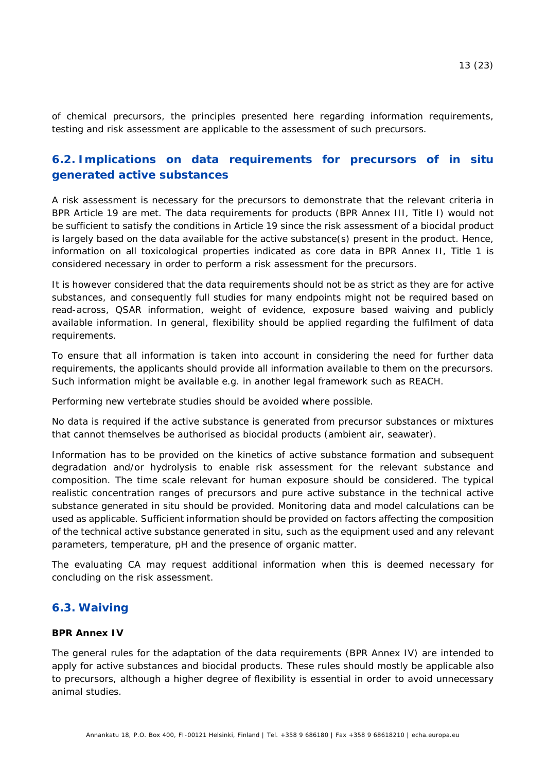of chemical precursors, the principles presented here regarding information requirements, testing and risk assessment are applicable to the assessment of such precursors.

## <span id="page-12-0"></span>**6.2. Implications on data requirements for precursors of** *in situ* **generated active substances**

A risk assessment is necessary for the precursors to demonstrate that the relevant criteria in BPR Article 19 are met. The data requirements for products (BPR Annex III, Title I) would not be sufficient to satisfy the conditions in Article 19 since the risk assessment of a biocidal product is largely based on the data available for the active substance(s) present in the product. Hence, information on all toxicological properties indicated as core data in BPR Annex II, Title 1 is considered necessary in order to perform a risk assessment for the precursors.

It is however considered that the data requirements should not be as strict as they are for active substances, and consequently full studies for many endpoints might not be required based on read-across, QSAR information, weight of evidence, exposure based waiving and publicly available information. In general, flexibility should be applied regarding the fulfilment of data requirements.

To ensure that all information is taken into account in considering the need for further data requirements, the applicants should provide all information available to them on the precursors. Such information might be available e.g. in another legal framework such as REACH.

Performing new vertebrate studies should be avoided where possible.

No data is required if the active substance is generated from precursor substances or mixtures that cannot themselves be authorised as biocidal products (ambient air, seawater).

Information has to be provided on the kinetics of active substance formation and subsequent degradation and/or hydrolysis to enable risk assessment for the relevant substance and composition. The time scale relevant for human exposure should be considered. The typical realistic concentration ranges of precursors and pure active substance in the technical active substance generated *in situ* should be provided. Monitoring data and model calculations can be used as applicable. Sufficient information should be provided on factors affecting the composition of the technical active substance generated *in situ*, such as the equipment used and any relevant parameters, temperature, pH and the presence of organic matter.

The evaluating CA may request additional information when this is deemed necessary for concluding on the risk assessment.

## <span id="page-12-1"></span>**6.3. Waiving**

#### **BPR Annex IV**

The general rules for the adaptation of the data requirements (BPR Annex IV) are intended to apply for active substances and biocidal products. These rules should mostly be applicable also to precursors, although a higher degree of flexibility is essential in order to avoid unnecessary animal studies.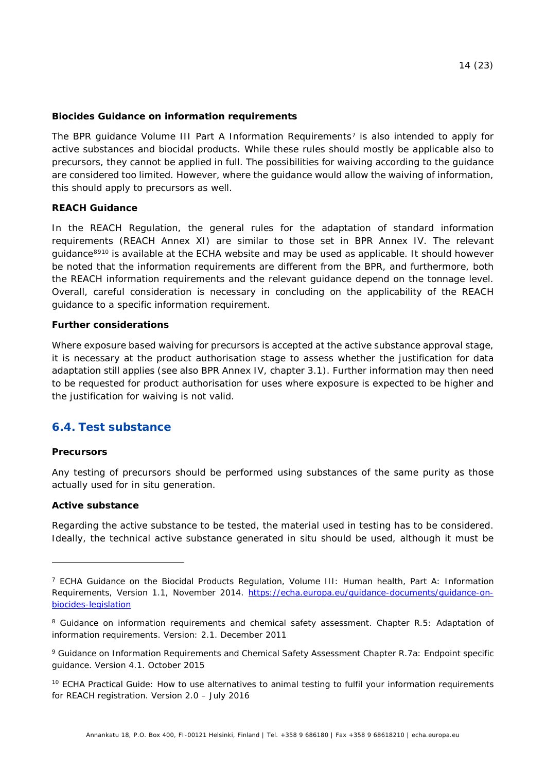#### <span id="page-13-3"></span>**Biocides Guidance on information requirements**

The *BPR guidance Volume III Part A Information Requirements*[7](#page-13-1) is also intended to apply for active substances and biocidal products. While these rules should mostly be applicable also to precursors, they cannot be applied in full. The possibilities for waiving according to the guidance are considered too limited. However, where the guidance would allow the waiving of information, this should apply to precursors as well.

#### **REACH Guidance**

In the REACH Regulation, the general rules for the adaptation of standard information requirements (REACH Annex XI) are similar to those set in BPR Annex IV. The relevant guidance<sup>[8](#page-13-2)[910](#page-13-3)</sup> is available at the ECHA website and may be used as applicable. It should however be noted that the information requirements are different from the BPR, and furthermore, both the REACH information requirements and the relevant guidance depend on the tonnage level. Overall, careful consideration is necessary in concluding on the applicability of the REACH guidance to a specific information requirement.

#### **Further considerations**

Where exposure based waiving for precursors is accepted at the active substance approval stage, it is necessary at the product authorisation stage to assess whether the justification for data adaptation still applies (see also BPR Annex IV, chapter 3.1). Further information may then need to be requested for product authorisation for uses where exposure is expected to be higher and the justification for waiving is not valid.

## <span id="page-13-0"></span>**6.4. Test substance**

#### **Precursors**

-

Any testing of precursors should be performed using substances of the same purity as those actually used for *in situ* generation.

#### **Active substance**

Regarding the active substance to be tested, the material used in testing has to be considered. Ideally, the technical active substance generated *in situ* should be used, although it must be

<span id="page-13-1"></span><sup>&</sup>lt;sup>7</sup> ECHA Guidance on the Biocidal Products Regulation, Volume III: Human health, Part A: Information Requirements, Version 1.1, November 2014. [https://echa.europa.eu/guidance-documents/guidance-on](https://echa.europa.eu/guidance-documents/guidance-on-biocides-legislation)[biocides-legislation](https://echa.europa.eu/guidance-documents/guidance-on-biocides-legislation)

<span id="page-13-2"></span><sup>&</sup>lt;sup>8</sup> Guidance on information requirements and chemical safety assessment. Chapter R.5: Adaptation of information requirements. Version: 2.1. December 2011

<sup>9</sup> Guidance on Information Requirements and Chemical Safety Assessment Chapter R.7a: Endpoint specific guidance. Version 4.1. October 2015

<sup>&</sup>lt;sup>10</sup> ECHA Practical Guide: How to use alternatives to animal testing to fulfil your information requirements for REACH registration. Version 2.0 – July 2016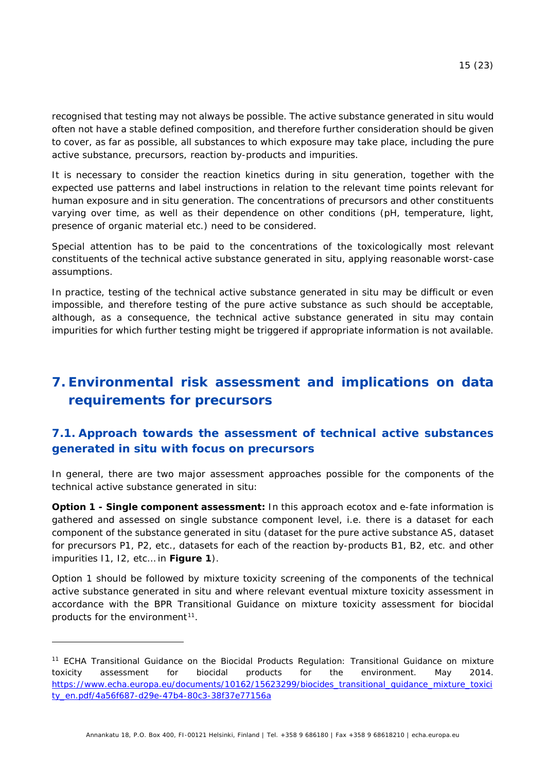recognised that testing may not always be possible. The active substance generated *in situ* would often not have a stable defined composition, and therefore further consideration should be given to cover, as far as possible, all substances to which exposure may take place, including the pure active substance, precursors, reaction by-products and impurities.

It is necessary to consider the reaction kinetics during *in situ* generation, together with the expected use patterns and label instructions in relation to the relevant time points relevant for human exposure and *in situ* generation. The concentrations of precursors and other constituents varying over time, as well as their dependence on other conditions (pH, temperature, light, presence of organic material etc.) need to be considered.

Special attention has to be paid to the concentrations of the toxicologically most relevant constituents of the technical active substance generated *in situ*, applying reasonable worst-case assumptions.

In practice, testing of the technical active substance generated *in situ* may be difficult or even impossible, and therefore testing of the pure active substance as such should be acceptable, although, as a consequence, the technical active substance generated *in situ* may contain impurities for which further testing might be triggered if appropriate information is not available.

# <span id="page-14-0"></span>**7. Environmental risk assessment and implications on data requirements for precursors**

## <span id="page-14-1"></span>**7.1. Approach towards the assessment of technical active substances generated** *in situ* **with focus on precursors**

In general, there are two major assessment approaches possible for the components of the technical active substance generated *in situ*:

**Option 1 - Single component assessment:** In this approach ecotox and e-fate information is gathered and assessed on single substance component level, i.e. there is a dataset for each component of the substance generated *in situ* (dataset for the pure active substance AS, dataset for precursors P1, P2, etc., datasets for each of the reaction by-products B1, B2, etc. and other impurities I1, I2, etc… in **[Figure 1](#page-3-4)**).

<span id="page-14-3"></span>Option 1 should be followed by mixture toxicity screening of the components of the technical active substance generated *in situ* and where relevant eventual mixture toxicity assessment in accordance with the *BPR Transitional Guidance on mixture toxicity assessment for biocidal products for the environment[11](#page-14-2)*.

<span id="page-14-2"></span><sup>11</sup> ECHA Transitional Guidance on the Biocidal Products Regulation: Transitional Guidance on mixture toxicity assessment for biocidal products for the environment. May 2014. https://www.echa.europa.eu/documents/10162/15623299/biocides\_transitional\_quidance\_mixture\_toxici [ty\\_en.pdf/4a56f687-d29e-47b4-80c3-38f37e77156a](https://www.echa.europa.eu/documents/10162/15623299/biocides_transitional_guidance_mixture_toxicity_en.pdf/4a56f687-d29e-47b4-80c3-38f37e77156a)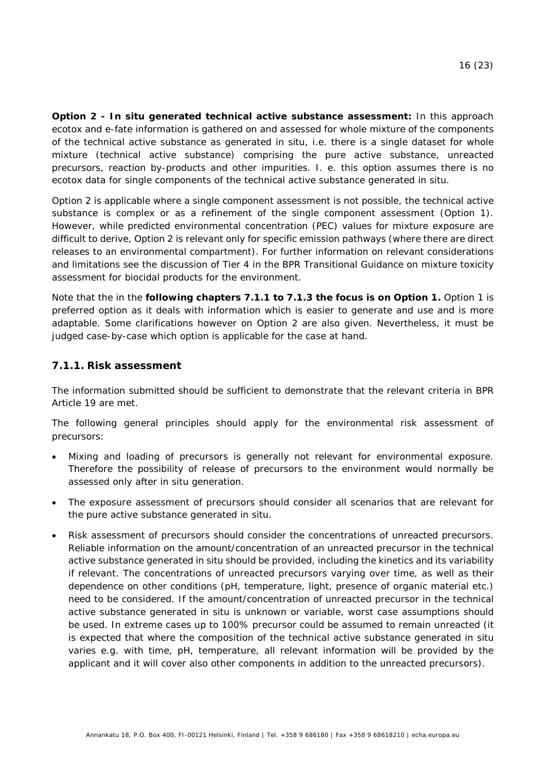**Option 2 -** *In situ* **generated technical active substance assessment:** In this approach ecotox and e-fate information is gathered on and assessed for whole mixture of the components of the technical active substance as generated *in situ*, i.e. there is a single dataset for whole mixture (technical active substance) comprising the pure active substance, unreacted precursors, reaction by-products and other impurities. I. e. this option assumes there is no ecotox data for single components of the technical active substance generated *in situ*.

Option 2 is applicable where a single component assessment is not possible, the technical active substance is complex or as a refinement of the single component assessment (Option 1). However, while predicted environmental concentration (PEC) values for mixture exposure are difficult to derive, Option 2 is relevant only for specific emission pathways (where there are direct releases to an environmental compartment). For further information on relevant considerations and limitations see the discussion of Tier 4 in the *BPR Transitional Guidance on mixture toxicity assessment for biocidal products for the environment*.

Note that the in the **following chapters [7.1.1](#page-15-0) to [7.1.3](#page-21-0) the focus is on Option 1.** Option 1 is preferred option as it deals with information which is easier to generate and use and is more adaptable. Some clarifications however on Option 2 are also given. Nevertheless, it must be judged case-by-case which option is applicable for the case at hand.

### <span id="page-15-0"></span>**7.1.1. Risk assessment**

The information submitted should be sufficient to demonstrate that the relevant criteria in BPR Article 19 are met.

The following general principles should apply for the environmental risk assessment of precursors:

- Mixing and loading of precursors is generally not relevant for environmental exposure. Therefore the possibility of release of precursors to the environment would normally be assessed only after *in situ* generation.
- The exposure assessment of precursors should consider all scenarios that are relevant for the pure active substance generated *in situ*.
- Risk assessment of precursors should consider the concentrations of unreacted precursors. Reliable information on the amount/concentration of an unreacted precursor in the technical active substance generated *in situ* should be provided, including the kinetics and its variability if relevant. The concentrations of unreacted precursors varying over time, as well as their dependence on other conditions (pH, temperature, light, presence of organic material etc.) need to be considered. If the amount/concentration of unreacted precursor in the technical active substance generated *in situ* is unknown or variable, worst case assumptions should be used. In extreme cases up to 100% precursor could be assumed to remain unreacted (it is expected that where the composition of the technical active substance generated *in situ* varies e.g. with time, pH, temperature, all relevant information will be provided by the applicant and it will cover also other components in addition to the unreacted precursors).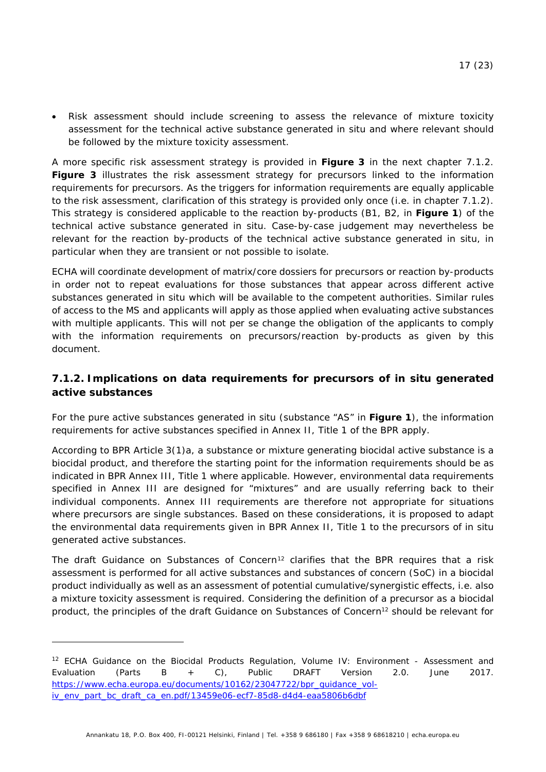• Risk assessment should include screening to assess the relevance of mixture toxicity assessment for the technical active substance generated *in situ* and where relevant should be followed by the mixture toxicity assessment.

A more specific risk assessment strategy is provided in **[Figure 3](#page-19-0)** in the next chapter [7.1.2.](#page-16-0) **[Figure 3](#page-19-0)** illustrates the risk assessment strategy for precursors linked to the information requirements for precursors. As the triggers for information requirements are equally applicable to the risk assessment, clarification of this strategy is provided only once (i.e. in chapter [7.1.2\)](#page-16-0). This strategy is considered applicable to the reaction by-products (B1, B2, in **[Figure 1](#page-3-4)**) of the technical active substance generated *in situ*. Case-by-case judgement may nevertheless be relevant for the reaction by-products of the technical active substance generated *in situ*, in particular when they are transient or not possible to isolate.

ECHA will coordinate development of matrix/core dossiers for precursors or reaction by-products in order not to repeat evaluations for those substances that appear across different active substances generated *in situ* which will be available to the competent authorities. Similar rules of access to the MS and applicants will apply as those applied when evaluating active substances with multiple applicants. This will not *per se* change the obligation of the applicants to comply with the information requirements on precursors/reaction by-products as given by this document.

## <span id="page-16-0"></span>**7.1.2. Implications on data requirements for precursors of** *in situ* **generated active substances**

For the pure active substances generated *in situ* (substance "AS" in **[Figure 1](#page-3-4)**), the information requirements for active substances specified in Annex II, Title 1 of the BPR apply.

According to BPR Article 3(1)a, a substance or mixture generating biocidal active substance is a biocidal product, and therefore the starting point for the information requirements should be as indicated in BPR Annex III, Title 1 where applicable. However, environmental data requirements specified in Annex III are designed for "mixtures" and are usually referring back to their individual components. Annex III requirements are therefore not appropriate for situations where precursors are single substances. Based on these considerations, it is proposed to adapt the environmental data requirements given in BPR Annex II, Title 1 to the precursors of *in situ* generated active substances.

<span id="page-16-1"></span>The *draft Guidance on Substances of Concern[12](#page-16-2)* clarifies that the BPR requires that a risk assessment is performed for all active substances and substances of concern (SoC) in a biocidal product individually as well as an assessment of potential cumulative/synergistic effects, i.e. also a mixture toxicity assessment is required. Considering the definition of a precursor as a biocidal product, the principles of the *draft Guidance on Substances of Concern*[12](#page-16-1) should be relevant for

<span id="page-16-2"></span><sup>&</sup>lt;sup>12</sup> ECHA Guidance on the Biocidal Products Regulation, Volume IV: Environment - Assessment and Evaluation (Parts B + C), Public DRAFT Version 2.0. June 2017. [https://www.echa.europa.eu/documents/10162/23047722/bpr\\_guidance\\_vol](https://www.echa.europa.eu/documents/10162/23047722/bpr_guidance_vol-iv_env_part_bc_draft_ca_en.pdf/13459e06-ecf7-85d8-d4d4-eaa5806b6dbf)[iv\\_env\\_part\\_bc\\_draft\\_ca\\_en.pdf/13459e06-ecf7-85d8-d4d4-eaa5806b6dbf](https://www.echa.europa.eu/documents/10162/23047722/bpr_guidance_vol-iv_env_part_bc_draft_ca_en.pdf/13459e06-ecf7-85d8-d4d4-eaa5806b6dbf)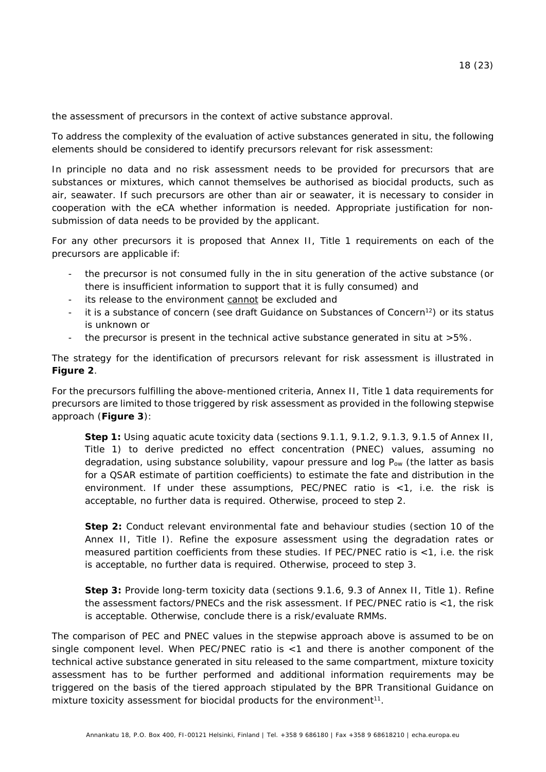the assessment of precursors in the context of active substance approval.

To address the complexity of the evaluation of active substances generated *in situ*, the following elements should be considered to identify precursors relevant for risk assessment:

In principle no data and no risk assessment needs to be provided for precursors that are substances or mixtures, which cannot themselves be authorised as biocidal products, such as air, seawater. If such precursors are other than air or seawater, it is necessary to consider in cooperation with the eCA whether information is needed. Appropriate justification for nonsubmission of data needs to be provided by the applicant.

For any other precursors it is proposed that Annex II, Title 1 requirements on each of the precursors are applicable if:

- the precursor is not consumed fully in the *in situ* generation of the active substance (or there is insufficient information to support that it is fully consumed) and
- its release to the environment cannot be excluded and
- it is a substance of concern (see *draft Guidance on Substances of Concern*<sup>12</sup>) or its status is unknown or
- the precursor is present in the technical active substance generated *in situ* at >5%.

The strategy for the identification of precursors relevant for risk assessment is illustrated in **[Figure 2](#page-18-0)**.

For the precursors fulfilling the above-mentioned criteria, Annex II, Title 1 data requirements for precursors are limited to those triggered by risk assessment as provided in the following stepwise approach (**[Figure 3](#page-19-0)**):

**Step 1:** Using aquatic acute toxicity data (sections 9.1.1, 9.1.2, 9.1.3, 9.1.5 of Annex II, Title 1) to derive predicted no effect concentration (PNEC) values, assuming no degradation, using substance solubility, vapour pressure and log  $P_{ow}$  (the latter as basis for a QSAR estimate of partition coefficients) to estimate the fate and distribution in the environment. If under these assumptions, PEC/PNEC ratio is <1, i.e. the risk is acceptable, no further data is required. Otherwise, proceed to step 2.

**Step 2:** Conduct relevant environmental fate and behaviour studies (section 10 of the Annex II, Title I). Refine the exposure assessment using the degradation rates or measured partition coefficients from these studies. If PEC/PNEC ratio is <1, i.e. the risk is acceptable, no further data is required. Otherwise, proceed to step 3.

<span id="page-17-0"></span>**Step 3:** Provide long-term toxicity data (sections 9.1.6, 9.3 of Annex II, Title 1). Refine the assessment factors/PNECs and the risk assessment. If PEC/PNEC ratio is <1, the risk is acceptable. Otherwise, conclude there is a risk/evaluate RMMs.

The comparison of PEC and PNEC values in the stepwise approach above is assumed to be on single component level. When PEC/PNEC ratio is <1 and there is another component of the technical active substance generated *in situ* released to the same compartment, mixture toxicity assessment has to be further performed and additional information requirements may be triggered on the basis of the tiered approach stipulated by the *BPR Transitional Guidance on mixture toxicity assessment for biocidal products for the environment*[11.](#page-14-3)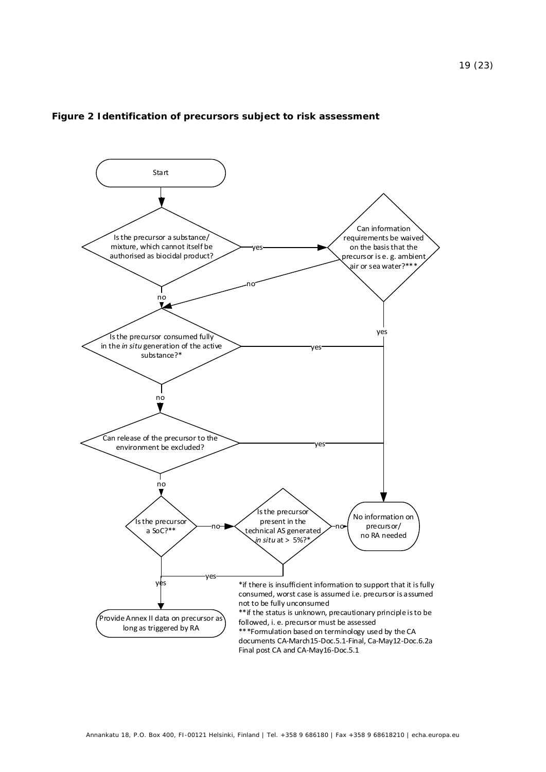

#### <span id="page-18-0"></span>**Figure 2 Identification of precursors subject to risk assessment**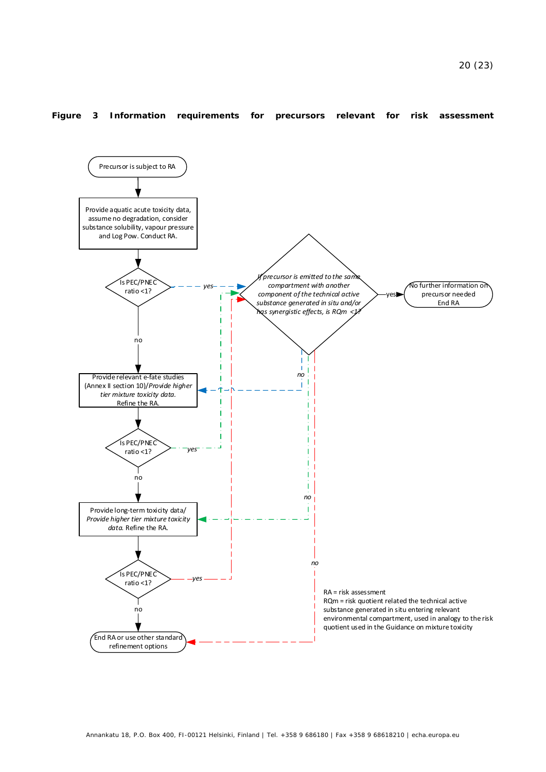#### <span id="page-19-0"></span>**Figure 3 Information requirements for precursors relevant for risk assessment**

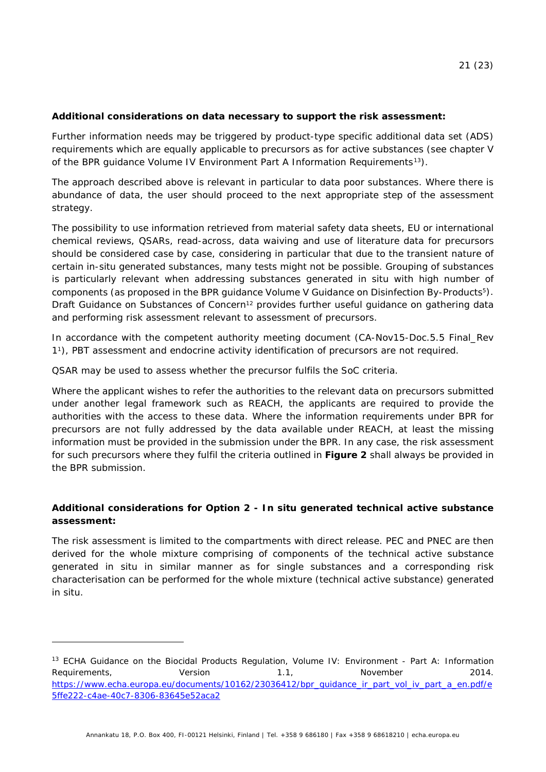#### **Additional considerations on data necessary to support the risk assessment:**

Further information needs may be triggered by product-type specific additional data set (ADS) requirements which are equally applicable to precursors as for active substances (see chapter V of the *BPR guidance Volume IV Environment Part A Information Requirements[13](#page-20-0)*).

The approach described above is relevant in particular to data poor substances. Where there is abundance of data, the user should proceed to the next appropriate step of the assessment strategy.

The possibility to use information retrieved from material safety data sheets, EU or international chemical reviews, QSARs, read-across, data waiving and use of literature data for precursors should be considered case by case, considering in particular that due to the transient nature of certain *in-situ* generated substances, many tests might not be possible. Grouping of substances is particularly relevant when addressing substances generated *in situ* with high number of components (as proposed in the *BPR guidance Volume V Guidance on Disinfection By-Products*[5\)](#page-11-4). Draft *Guidance on Substances of Concern*[12](#page-16-1) provides further useful guidance on gathering data and performing risk assessment relevant to assessment of precursors.

In accordance with the competent authority meeting document (*CA-Nov15-Doc.5.5 Final\_Rev 1*[1\)](#page-3-2), PBT assessment and endocrine activity identification of precursors are not required.

QSAR may be used to assess whether the precursor fulfils the SoC criteria.

-

Where the applicant wishes to refer the authorities to the relevant data on precursors submitted under another legal framework such as REACH, the applicants are required to provide the authorities with the access to these data. Where the information requirements under BPR for precursors are not fully addressed by the data available under REACH, at least the missing information must be provided in the submission under the BPR. In any case, the risk assessment for such precursors where they fulfil the criteria outlined in **[Figure 2](#page-17-0)** shall always be provided in the BPR submission.

### **Additional considerations for Option 2 -** *In situ* **generated technical active substance assessment:**

The risk assessment is limited to the compartments with direct release. PEC and PNEC are then derived for the whole mixture comprising of components of the technical active substance generated *in situ* in similar manner as for single substances and a corresponding risk characterisation can be performed for the whole mixture (technical active substance) generated *in situ*.

<span id="page-20-0"></span><sup>13</sup> ECHA Guidance on the Biocidal Products Regulation, Volume IV: Environment - Part A: Information Requirements,  $V$ ersion 1.1, November 2014. https://www.echa.europa.eu/documents/10162/23036412/bpr\_quidance\_ir\_part\_vol\_iv\_part\_a\_en.pdf/e [5ffe222-c4ae-40c7-8306-83645e52aca2](https://www.echa.europa.eu/documents/10162/23036412/bpr_guidance_ir_part_vol_iv_part_a_en.pdf/e5ffe222-c4ae-40c7-8306-83645e52aca2)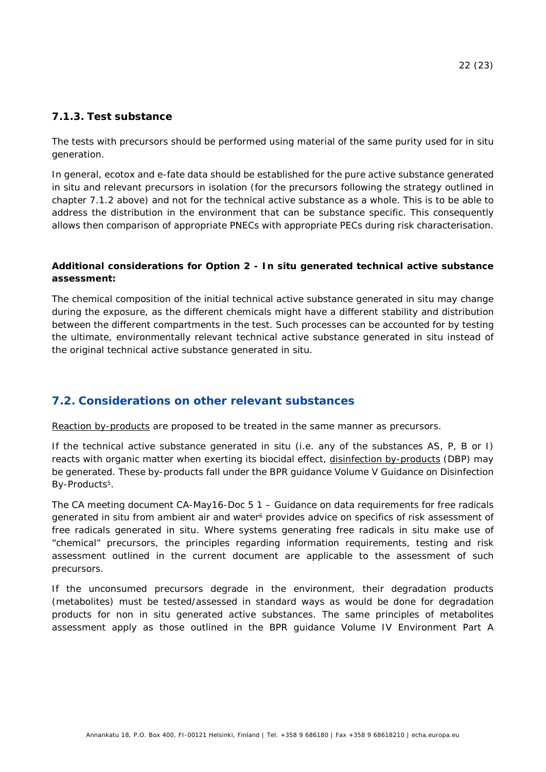#### <span id="page-21-0"></span>**7.1.3. Test substance**

The tests with precursors should be performed using material of the same purity used for *in situ* generation.

In general, ecotox and e-fate data should be established for the pure active substance generated *in situ* and relevant precursors in isolation (for the precursors following the strategy outlined in chapter [7.1.2](#page-16-0) above) and not for the technical active substance as a whole. This is to be able to address the distribution in the environment that can be substance specific. This consequently allows then comparison of appropriate PNECs with appropriate PECs during risk characterisation.

#### **Additional considerations for Option 2 -** *In situ* **generated technical active substance assessment:**

The chemical composition of the initial technical active substance generated *in situ* may change during the exposure, as the different chemicals might have a different stability and distribution between the different compartments in the test. Such processes can be accounted for by testing the ultimate, environmentally relevant technical active substance generated *in situ* instead of the original technical active substance generated *in situ*.

## <span id="page-21-1"></span>**7.2. Considerations on other relevant substances**

Reaction by-products are proposed to be treated in the same manner as precursors.

If the technical active substance generated *in situ* (i.e. any of the substances AS, P, B or I) reacts with organic matter when exerting its biocidal effect, disinfection by-products (DBP) may be generated. These by-products fall under the *BPR guidance Volume V Guidance on Disinfection By-Products*[5.](#page-11-4)

The CA meeting document *CA-May16-Doc 5 1* – *Guidance on data requirements for free radicals generated in situ from ambient air and water*[6](#page-11-5) provides advice on specifics of risk assessment of free radicals generated *in situ*. Where systems generating free radicals *in situ* make use of "chemical" precursors, the principles regarding information requirements, testing and risk assessment outlined in the current document are applicable to the assessment of such precursors.

If the unconsumed precursors degrade in the environment, their degradation products (metabolites) must be tested/assessed in standard ways as would be done for degradation products for non *in situ* generated active substances. The same principles of metabolites assessment apply as those outlined in the *BPR guidance Volume IV Environment Part A*